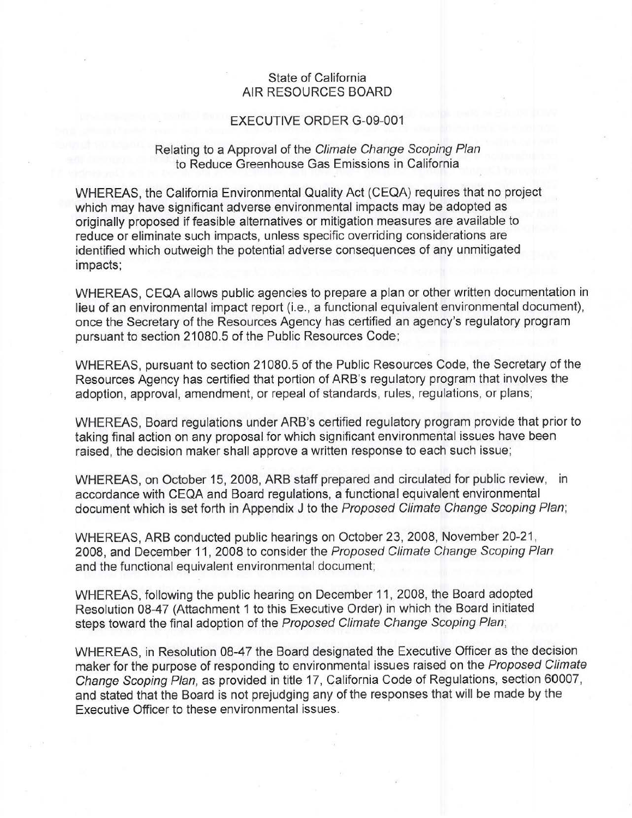## State of California AIR RESOURCES BOARD

## EXECUTIVE ORDER G-09-001

## Relating to a Approval of the Climate Change Scoping Plan to Reduce Greenhouse Gas Emissions in California

WHEREAS, the California Environmental Quality Act (CEQA) requires that no project which may have significant adverse environmental impacts may be adopted as originally proposed if feasible alternatives or mitigation measures are available to reduce or eliminate such impacts, unless specific overriding considerations are identified which outweigh the potential adverse consequences of any unmitigated impacts;

WHEREAS, CEQA allows public agencies to prepare a plan or other written documentation in lieu of an environmental impact report (i.e., a functional equivalent environmental document), once the Secretary of the Resources Agency has certified an agency's regulatory program pursuant to section 21080.5 of the Public Resources Code;

WHEREAS, pursuant to section 21080.5 of the Public Resources Code, the Secretary of the Resources Agency has certified that portion of ARB's regulatory program that involves the adoption, approval, amendment, or repeal of standards, rules, regulations, or plans;

WHEREAS, Board regulations under ARB's certified regulatory program provide that prior to taking final action on any proposal for which significant environmental issues have been raised, the decision maker shall approve a written response to each such issue;

WHEREAS, on October 15, 2008, ARB staff prepared and circulated for public review, in accordance with CEQA and Board regulations, a functional equivalent environmental document which is set forth in Appendix J to the Proposed Climate Change Scoping Plan;

WHEREAS, ARB conducted public hearings on October 23, 2008, November 20-21 , 2008, and December 11, 2008 to consider the Proposed Climate Change Scoping Plan and the functional equivalent environmental document;

WHEREAS, following the public hearing on December 11, 2008, the Board adopted Resolution 08-47 (Attachment 1 to this Executive Order) in which the Board initiated steps toward the final adoption of the Proposed Climate Change Scoping Plan;

WHEREAS, in Resolution 08-47 the Board designated the Executive Officer as the decision maker for the purpose of responding to environmental issues raised on the Proposed Climate Change Scoping Plan, as provided in title 17, California Code of Regulations, section 60007, and stated that the Board is not prejudging any of the responses that will be made by the Executive Officer to these environmental issues.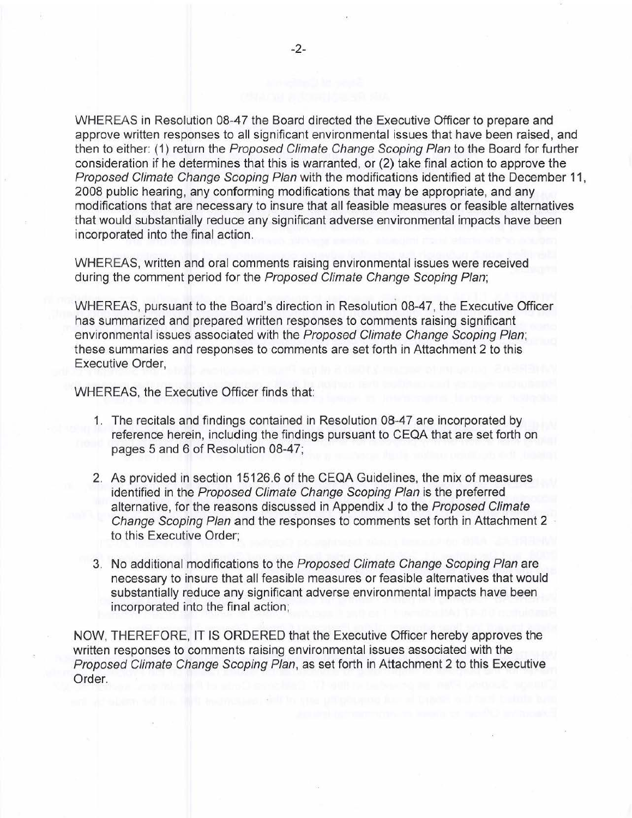WHEREAS in Resolution 08-47 the Board directed the Executive Officer to prepare and approve written responses to all significant environmental issues that have been raised, and then to either: (1) return the Proposed Climate Change Scoping Plan to the Board for further consideration if he determines that this is warranted, or (2) take final action to approve the Proposed Climate Change Scoping Plan with the modifications identified at the December 11, 2008 public hearing, any conforming modifications that may be appropriate, and any modifications that are necessary to insure that all feasible measures or feasible alternatives that would substantially reduce any significant adverse environmental impacts have been incorporated into the final action.

WHEREAS, written and oral comments raising environmental issues were received during the comment period for the Proposed Climate Change Scoping Plan;

WHEREAS, pursuant to the Board's direction in Resolution 08-47, the Executive Officer has summarized and prepared written responses to comments raising significant environmental issues associated with the Proposed Climate Change Scoping Plan; these summaries and responses to comments are set forth in Attachment 2 to this Executive Order,

WHEREAS, the Executive Officer finds that:

- 1. The recitals and findings contained in Resolution 08-47 are incorporated by reference herein, including the findings pursuant to CEQA that are set forth on pages 5 and 6 of Resolution 08-47;
- 2. As provided in section 15126.6 of the CEQA Guidelines, the mix of measures identified in the Proposed Climate Change Scoping Plan is the preferred alternative, for the reasons discussed in Appendix J to the Proposed Climate Change Scoping Plan and the responses to comments set forth in Attachment 2 to this Executive Order;
- 3. No additional modifications to the Proposed Climate Change Scoping Plan are necessary to insure that all feasible measures or feasible alternatives that would substantially reduce any significant adverse environmental impacts have been incorporated into the final action;

NOW, THEREFORE, IT IS ORDERED that the Executive Officer hereby approves the written responses to comments raising environmental issues associated with the Proposed Climate Change Scoping Plan, as set forth in Attachment 2 to this Executive Order.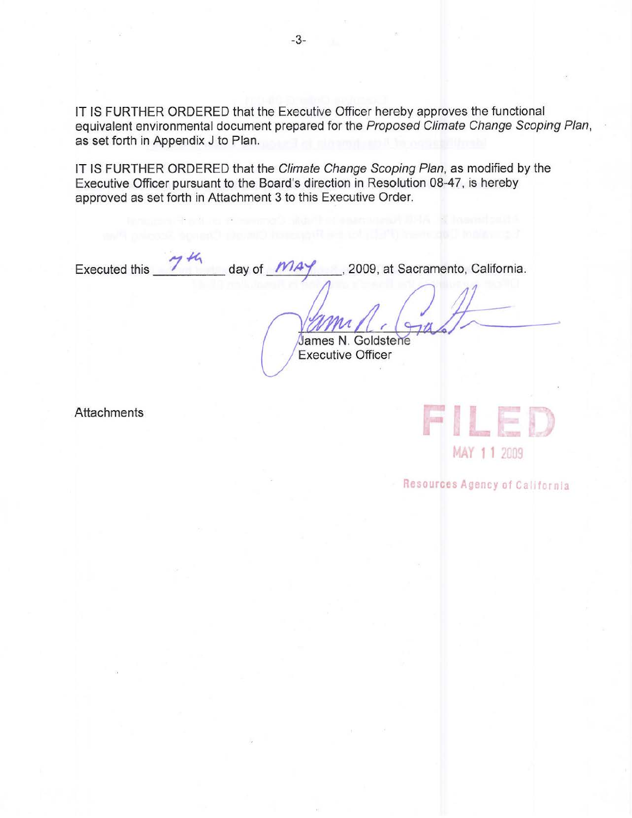IT IS FURTHER ORDERED that the Executive Officer hereby approves the functional equivalent environmental document prepared for the Proposed Climate Change Scoping Plan, as set forth in Appendix J to Plan.

IT IS FURTHER ORDERED that the Climate Change Scoping Plan, as modified by the Executive Officer pursuant to the Board's direction in Resolution 08-47, is hereby approved as set forth in Attachment 3 to this Executive Order.

Executed this  $\frac{74}{4}$  day of  $\frac{MAY}{4}$ , 2009, at Sacramento, California.

James N. Goldstene xecutive Officer

**Attachments** 



Resources Agency of California